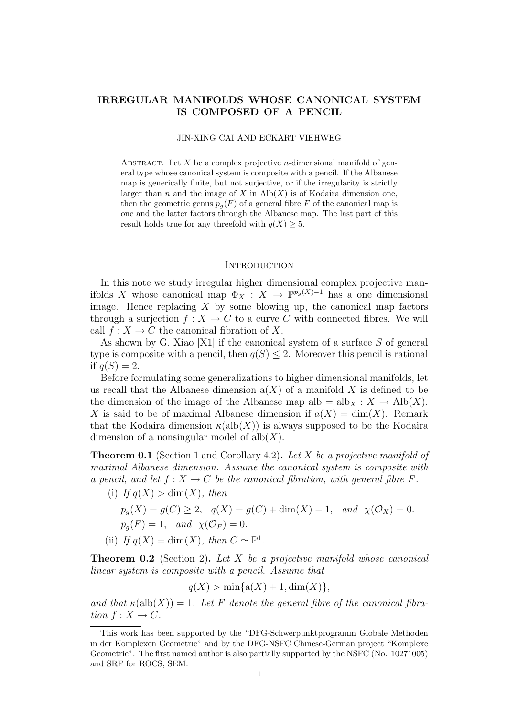# IRREGULAR MANIFOLDS WHOSE CANONICAL SYSTEM IS COMPOSED OF A PENCIL

#### JIN-XING CAI AND ECKART VIEHWEG

ABSTRACT. Let  $X$  be a complex projective *n*-dimensional manifold of general type whose canonical system is composite with a pencil. If the Albanese map is generically finite, but not surjective, or if the irregularity is strictly larger than n and the image of X in  $\text{Alb}(X)$  is of Kodaira dimension one, then the geometric genus  $p_q(F)$  of a general fibre F of the canonical map is one and the latter factors through the Albanese map. The last part of this result holds true for any threefold with  $q(X) \geq 5$ .

#### **INTRODUCTION**

In this note we study irregular higher dimensional complex projective manifolds X whose canonical map  $\Phi_X : X \to \mathbb{P}^{p_g(X)-1}$  has a one dimensional image. Hence replacing  $X$  by some blowing up, the canonical map factors through a surjection  $f: X \to C$  to a curve C with connected fibres. We will call  $f: X \to C$  the canonical fibration of X.

As shown by G. Xiao [X1] if the canonical system of a surface S of general type is composite with a pencil, then  $q(S) \leq 2$ . Moreover this pencil is rational if  $q(S) = 2$ .

Before formulating some generalizations to higher dimensional manifolds, let us recall that the Albanese dimension  $a(X)$  of a manifold X is defined to be the dimension of the image of the Albanese map alb =  $\text{alb}_X : X \to \text{Alb}(X)$ . X is said to be of maximal Albanese dimension if  $a(X) = \dim(X)$ . Remark that the Kodaira dimension  $\kappa(\text{alb}(X))$  is always supposed to be the Kodaira dimension of a nonsingular model of  $alb(X)$ .

**Theorem 0.1** (Section 1 and Corollary 4.2). Let X be a projective manifold of maximal Albanese dimension. Assume the canonical system is composite with a pencil, and let  $f: X \to C$  be the canonical fibration, with general fibre F.

(i) If  $q(X) > \dim(X)$ , then  $p_g(X) = g(C) \ge 2$ ,  $q(X) = g(C) + \dim(X) - 1$ , and  $\chi(\mathcal{O}_X) = 0$ .  $p_q(F) = 1$ , and  $\chi(\mathcal{O}_F) = 0$ . (ii) If  $q(X) = \dim(X)$ , then  $C \simeq \mathbb{P}^1$ .

**Theorem 0.2** (Section 2). Let X be a projective manifold whose canonical linear system is composite with a pencil. Assume that

$$
q(X) > min{a(X) + 1, dim(X)},
$$

and that  $\kappa(\text{alb}(X)) = 1$ . Let F denote the general fibre of the canonical fibration  $f: X \to C$ .

This work has been supported by the "DFG-Schwerpunktprogramm Globale Methoden in der Komplexen Geometrie" and by the DFG-NSFC Chinese-German project "Komplexe Geometrie". The first named author is also partially supported by the NSFC (No. 10271005) and SRF for ROCS, SEM.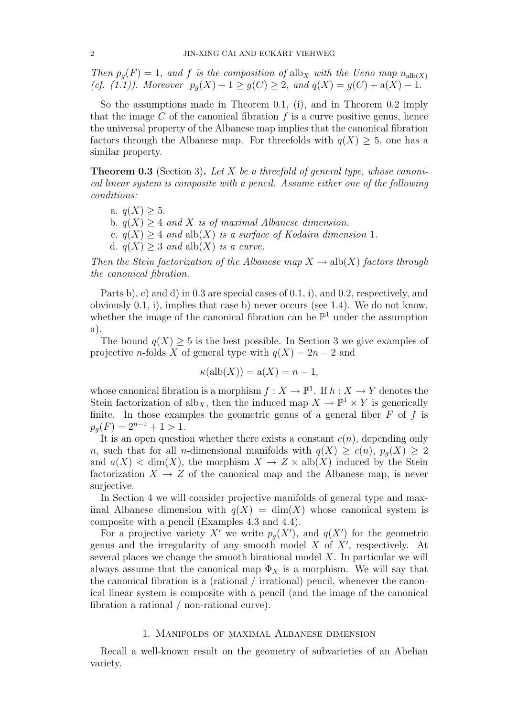Then  $p_q(F) = 1$ , and f is the composition of alb<sub>X</sub> with the Ueno map  $u_{alb(X)}$ (cf. (1.1)). Moreover  $p_g(X) + 1 \ge g(C) \ge 2$ , and  $q(X) = g(C) + a(X) - 1$ .

So the assumptions made in Theorem 0.1, (i), and in Theorem 0.2 imply that the image  $C$  of the canonical fibration  $f$  is a curve positive genus, hence the universal property of the Albanese map implies that the canonical fibration factors through the Albanese map. For threefolds with  $q(X) \geq 5$ , one has a similar property.

**Theorem 0.3** (Section 3). Let X be a threefold of general type, whose canonical linear system is composite with a pencil. Assume either one of the following conditions:

a.  $q(X) > 5$ . b.  $q(X) > 4$  and X is of maximal Albanese dimension. c.  $q(X) \geq 4$  and alb $(X)$  is a surface of Kodaira dimension 1. d.  $q(X) > 3$  and alb $(X)$  is a curve.

Then the Stein factorization of the Albanese map  $X \to \text{alb}(X)$  factors through the canonical fibration.

Parts b), c) and d) in 0.3 are special cases of 0.1, i), and 0.2, respectively, and obviously 0.1, i), implies that case b) never occurs (see 1.4). We do not know, whether the image of the canonical fibration can be  $\mathbb{P}^1$  under the assumption a).

The bound  $q(X) \geq 5$  is the best possible. In Section 3 we give examples of projective *n*-folds X of general type with  $q(X) = 2n - 2$  and

$$
\kappa(\text{alb}(X)) = \text{a}(X) = n - 1,
$$

whose canonical fibration is a morphism  $f: X \to \mathbb{P}^1$ . If  $h: X \to Y$  denotes the Stein factorization of alb<sub>X</sub>, then the induced map  $X \to \mathbb{P}^1 \times Y$  is generically finite. In those examples the geometric genus of a general fiber  $F$  of  $f$  is  $p_q(F) = 2^{n-1} + 1 > 1.$ 

It is an open question whether there exists a constant  $c(n)$ , depending only n, such that for all n-dimensional manifolds with  $q(X) \ge c(n)$ ,  $p_q(X) \ge 2$ and  $a(X) < \dim(X)$ , the morphism  $X \to Z \times \text{alb}(X)$  induced by the Stein factorization  $X \to Z$  of the canonical map and the Albanese map, is never surjective.

In Section 4 we will consider projective manifolds of general type and maximal Albanese dimension with  $q(X) = \dim(X)$  whose canonical system is composite with a pencil (Examples 4.3 and 4.4).

For a projective variety X' we write  $p<sub>g</sub>(X')$ , and  $q(X')$  for the geometric genus and the irregularity of any smooth model  $X$  of  $X'$ , respectively. At several places we change the smooth birational model  $X$ . In particular we will always assume that the canonical map  $\Phi_X$  is a morphism. We will say that the canonical fibration is a (rational / irrational) pencil, whenever the canonical linear system is composite with a pencil (and the image of the canonical fibration a rational / non-rational curve).

### 1. Manifolds of maximal Albanese dimension

Recall a well-known result on the geometry of subvarieties of an Abelian variety.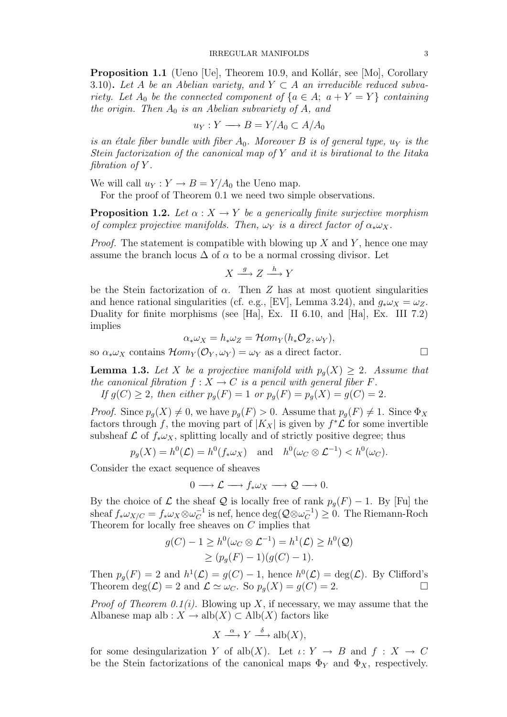**Proposition 1.1** (Ueno [Ue], Theorem 10.9, and Kollár, see [Mo], Corollary 3.10). Let A be an Abelian variety, and  $Y \subset A$  an irreducible reduced subvariety. Let  $A_0$  be the connected component of  $\{a \in A; a + Y = Y\}$  containing the origin. Then  $A_0$  is an Abelian subvariety of A, and

$$
u_Y: Y \longrightarrow B = Y/A_0 \subset A/A_0
$$

is an étale fiber bundle with fiber  $A_0$ . Moreover B is of general type,  $u_Y$  is the Stein factorization of the canonical map of Y and it is birational to the Iitaka fibration of  $Y$ .

We will call  $u_Y : Y \to B = Y/A_0$  the Ueno map.

For the proof of Theorem 0.1 we need two simple observations.

**Proposition 1.2.** Let  $\alpha : X \to Y$  be a generically finite surjective morphism of complex projective manifolds. Then,  $\omega_Y$  is a direct factor of  $\alpha_*\omega_X$ .

*Proof.* The statement is compatible with blowing up  $X$  and  $Y$ , hence one may assume the branch locus  $\Delta$  of  $\alpha$  to be a normal crossing divisor. Let

 $X \xrightarrow{g} Z \xrightarrow{h} Y$ 

be the Stein factorization of  $\alpha$ . Then Z has at most quotient singularities and hence rational singularities (cf. e.g., [EV], Lemma 3.24), and  $g_*\omega_X = \omega_Z$ . Duality for finite morphisms (see [Ha], Ex. II 6.10, and [Ha], Ex. III 7.2) implies

$$
\alpha_* \omega_X = h_* \omega_Z = \mathcal{H}om_Y(h_* \mathcal{O}_Z, \omega_Y),
$$

so  $\alpha_* \omega_X$  contains  $\mathcal{H}om_Y(\mathcal{O}_Y, \omega_Y) = \omega_Y$  as a direct factor.

**Lemma 1.3.** Let X be a projective manifold with  $p_q(X) \geq 2$ . Assume that the canonical fibration  $f : X \to C$  is a pencil with general fiber F. If  $g(C) \ge 2$ , then either  $p_g(F) = 1$  or  $p_g(F) = p_g(X) = g(C) = 2$ .

*Proof.* Since  $p_q(X) \neq 0$ , we have  $p_q(F) > 0$ . Assume that  $p_q(F) \neq 1$ . Since  $\Phi_X$ factors through f, the moving part of  $|K_X|$  is given by  $f^*\mathcal{L}$  for some invertible subsheaf  $\mathcal L$  of  $f_*\omega_X$ , splitting locally and of strictly positive degree; thus

 $p_g(X) = h^0(\mathcal{L}) = h^0(f_*\omega_X)$  and  $h^0(\omega_C \otimes \mathcal{L}^{-1}) < h^0(\omega_C)$ .

Consider the exact sequence of sheaves

 $0 \longrightarrow \mathcal{L} \longrightarrow f_* \omega_X \longrightarrow \mathcal{Q} \longrightarrow 0.$ 

By the choice of  $\mathcal L$  the sheaf  $\mathcal Q$  is locally free of rank  $p_q(F) - 1$ . By [Fu] the sheaf  $f_*\omega_{X/C} = f_*\omega_X \otimes \omega_C^{-1}$  $\overline{C}^1$  is nef, hence  $\text{deg}(\mathcal{Q} \otimes \omega_C^{-1})$  $(c^{-1}) \geq 0$ . The Riemann-Roch Theorem for locally free sheaves on C implies that

$$
g(C) - 1 \ge h^0(\omega_C \otimes \mathcal{L}^{-1}) = h^1(\mathcal{L}) \ge h^0(\mathcal{Q})
$$
  
 
$$
\ge (p_g(F) - 1)(g(C) - 1).
$$

Then  $p_g(F) = 2$  and  $h^1(\mathcal{L}) = g(C) - 1$ , hence  $h^0(\mathcal{L}) = \deg(\mathcal{L})$ . By Clifford's Theorem  $\deg(\mathcal{L}) = 2$  and  $\mathcal{L} \simeq \omega_C$ . So  $p_q(X) = g(C) = 2$ .

*Proof of Theorem 0.1(i).* Blowing up X, if necessary, we may assume that the Albanese map alb :  $X \to \text{alb}(X) \subset \text{Alb}(X)$  factors like

$$
X \xrightarrow{\alpha} Y \xrightarrow{\delta} \text{alb}(X),
$$

for some desingularization Y of alb $(X)$ . Let  $\iota: Y \to B$  and  $f: X \to C$ be the Stein factorizations of the canonical maps  $\Phi_Y$  and  $\Phi_X$ , respectively.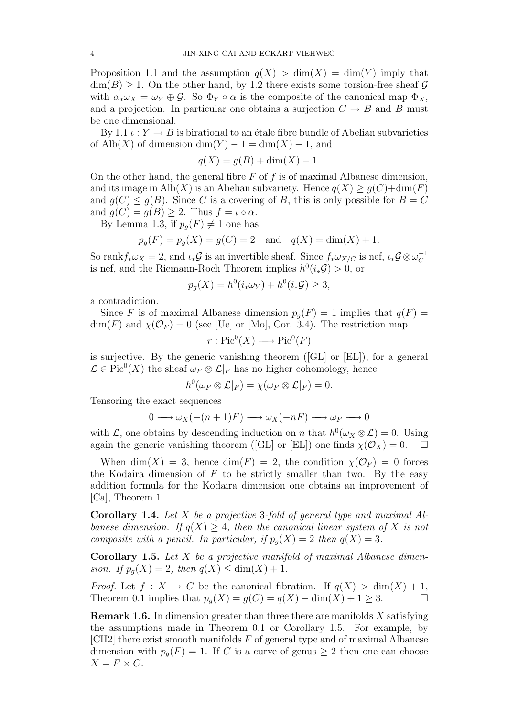Proposition 1.1 and the assumption  $q(X) > dim(X) = dim(Y)$  imply that  $\dim(B) \geq 1$ . On the other hand, by 1.2 there exists some torsion-free sheaf G with  $\alpha_* \omega_X = \omega_Y \oplus \mathcal{G}$ . So  $\Phi_Y \circ \alpha$  is the composite of the canonical map  $\Phi_X$ , and a projection. In particular one obtains a surjection  $C \rightarrow B$  and B must be one dimensional.

By 1.1  $\iota: Y \to B$  is birational to an étale fibre bundle of Abelian subvarieties of Alb $(X)$  of dimension dim $(Y) - 1 = \dim(X) - 1$ , and

$$
q(X) = g(B) + \dim(X) - 1.
$$

On the other hand, the general fibre  $F$  of  $f$  is of maximal Albanese dimension, and its image in Alb(X) is an Abelian subvariety. Hence  $q(X) \geq q(C) + \dim(F)$ and  $g(C) \leq g(B)$ . Since C is a covering of B, this is only possible for  $B = C$ and  $g(C) = g(B) \geq 2$ . Thus  $f = \iota \circ \alpha$ .

By Lemma 1.3, if  $p_q(F) \neq 1$  one has

$$
p_g(F) = p_g(X) = g(C) = 2
$$
 and  $q(X) = \dim(X) + 1$ .

So rank $f_*\omega_X = 2$ , and  $\iota_*\mathcal{G}$  is an invertible sheaf. Since  $f_*\omega_{X/C}$  is nef,  $\iota_*\mathcal{G} \otimes \omega_C^{-1}$ C is nef, and the Riemann-Roch Theorem implies  $h^0(i_*\mathcal{G}) > 0$ , or

$$
p_g(X) = h^0(i_*\omega_Y) + h^0(i_*\mathcal{G}) \ge 3,
$$

a contradiction.

Since F is of maximal Albanese dimension  $p_q(F) = 1$  implies that  $q(F) =$  $\dim(F)$  and  $\chi(\mathcal{O}_F) = 0$  (see [Ue] or [Mo], Cor. 3.4). The restriction map

$$
r: \mathrm{Pic}^0(X) \longrightarrow \mathrm{Pic}^0(F)
$$

is surjective. By the generic vanishing theorem ([GL] or [EL]), for a general  $\mathcal{L} \in \text{Pic}^0(X)$  the sheaf  $\omega_F \otimes \mathcal{L}|_F$  has no higher cohomology, hence

$$
h^0(\omega_F\otimes\mathcal{L}|_F)=\chi(\omega_F\otimes\mathcal{L}|_F)=0.
$$

Tensoring the exact sequences

$$
0 \longrightarrow \omega_X(-(n+1)F) \longrightarrow \omega_X(-nF) \longrightarrow \omega_F \longrightarrow 0
$$

with  $\mathcal{L}$ , one obtains by descending induction on n that  $h^0(\omega_X \otimes \mathcal{L}) = 0$ . Using again the generic vanishing theorem ([GL] or [EL]) one finds  $\chi(\mathcal{O}_X) = 0$ .  $\Box$ 

When dim(X) = 3, hence dim(F) = 2, the condition  $\chi(\mathcal{O}_F) = 0$  forces the Kodaira dimension of  $F$  to be strictly smaller than two. By the easy addition formula for the Kodaira dimension one obtains an improvement of [Ca], Theorem 1.

**Corollary 1.4.** Let X be a projective 3-fold of general type and maximal Albanese dimension. If  $q(X) > 4$ , then the canonical linear system of X is not composite with a pencil. In particular, if  $p_q(X) = 2$  then  $q(X) = 3$ .

**Corollary 1.5.** Let  $X$  be a projective manifold of maximal Albanese dimension. If  $p_q(X) = 2$ , then  $q(X) \leq \dim(X) + 1$ .

*Proof.* Let  $f: X \to C$  be the canonical fibration. If  $q(X) > \dim(X) + 1$ , Theorem 0.1 implies that  $p_q(X) = g(C) = q(X) - \dim(X) + 1 \geq 3.$ 

**Remark 1.6.** In dimension greater than three there are manifolds  $X$  satisfying the assumptions made in Theorem 0.1 or Corollary 1.5. For example, by  $[CH2]$  there exist smooth manifolds  $F$  of general type and of maximal Albanese dimension with  $p_q(F) = 1$ . If C is a curve of genus  $\geq 2$  then one can choose  $X = F \times C$ .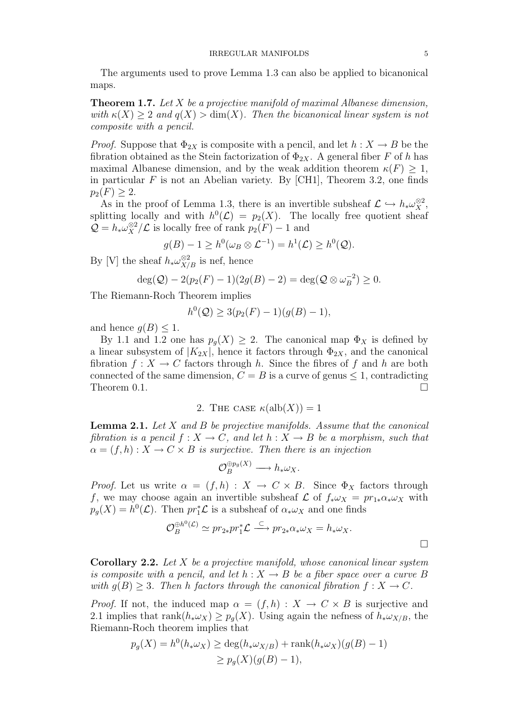The arguments used to prove Lemma 1.3 can also be applied to bicanonical maps.

**Theorem 1.7.** Let  $X$  be a projective manifold of maximal Albanese dimension, with  $\kappa(X) \geq 2$  and  $q(X) > \dim(X)$ . Then the bicanonical linear system is not composite with a pencil.

*Proof.* Suppose that  $\Phi_{2X}$  is composite with a pencil, and let  $h: X \to B$  be the fibration obtained as the Stein factorization of  $\Phi_{2X}$ . A general fiber F of h has maximal Albanese dimension, and by the weak addition theorem  $\kappa(F) \geq 1$ , in particular  $F$  is not an Abelian variety. By [CH1], Theorem 3.2, one finds  $p_2(F) > 2.$ 

As in the proof of Lemma 1.3, there is an invertible subsheaf  $\mathcal{L} \hookrightarrow h_* \omega_X^{\otimes 2}$ , splitting locally and with  $h^0(\mathcal{L}) = p_2(X)$ . The locally free quotient sheaf  $\mathcal{Q} = h_* \omega_X^{\otimes 2} / \mathcal{L}$  is locally free of rank  $p_2(F) - 1$  and

$$
g(B) - 1 \ge h^0(\omega_B \otimes \mathcal{L}^{-1}) = h^1(\mathcal{L}) \ge h^0(\mathcal{Q}).
$$

By [V] the sheaf  $h_* \omega_{X/B}^{\otimes 2}$  is nef, hence

$$
\deg(Q) - 2(p_2(F) - 1)(2g(B) - 2) = \deg(Q \otimes \omega_B^{-2}) \ge 0.
$$

The Riemann-Roch Theorem implies

$$
h^{0}(Q) \ge 3(p_{2}(F) - 1)(g(B) - 1),
$$

and hence  $g(B) \leq 1$ .

By 1.1 and 1.2 one has  $p_q(X) \geq 2$ . The canonical map  $\Phi_X$  is defined by a linear subsystem of  $|K_{2X}|$ , hence it factors through  $\Phi_{2X}$ , and the canonical fibration  $f: X \to C$  factors through h. Since the fibres of f and h are both connected of the same dimension,  $C = B$  is a curve of genus  $\leq 1$ , contradicting Theorem  $0.1.$ 

2. THE CASE  $\kappa(\text{alb}(X)) = 1$ 

**Lemma 2.1.** Let  $X$  and  $B$  be projective manifolds. Assume that the canonical fibration is a pencil  $f : X \to C$ , and let  $h : X \to B$  be a morphism, such that  $\alpha = (f, h) : X \to C \times B$  is surjective. Then there is an injection

$$
\mathcal{O}_B^{\oplus p_g(X)} \longrightarrow h_* \omega_X.
$$

*Proof.* Let us write  $\alpha = (f, h) : X \to C \times B$ . Since  $\Phi_X$  factors through f, we may choose again an invertible subsheaf  $\mathcal L$  of  $f_*\omega_X = pr_{1*}\alpha_*\omega_X$  with  $p_g(X) = h^0(\mathcal{L})$ . Then  $pr_1^*\mathcal{L}$  is a subsheaf of  $\alpha_*\omega_X$  and one finds

$$
\mathcal{O}_B^{\oplus h^0(\mathcal{L})} \simeq pr_{2*}pr_1^*\mathcal{L} \stackrel{\subset}{\longrightarrow} pr_{2*}\alpha_*\omega_X = h_*\omega_X.
$$

**Corollary 2.2.** Let  $X$  be a projective manifold, whose canonical linear system is composite with a pencil, and let  $h: X \to B$  be a fiber space over a curve B with  $q(B) > 3$ . Then h factors through the canonical fibration  $f: X \to C$ .

*Proof.* If not, the induced map  $\alpha = (f, h) : X \to C \times B$  is surjective and 2.1 implies that rank $(h_*\omega_X) \geq p_q(X)$ . Using again the nefness of  $h_*\omega_{X/B}$ , the Riemann-Roch theorem implies that

$$
p_g(X) = h^0(h_*\omega_X) \ge \deg(h_*\omega_{X/B}) + \text{rank}(h_*\omega_X)(g(B) - 1)
$$
  
 
$$
\ge p_g(X)(g(B) - 1),
$$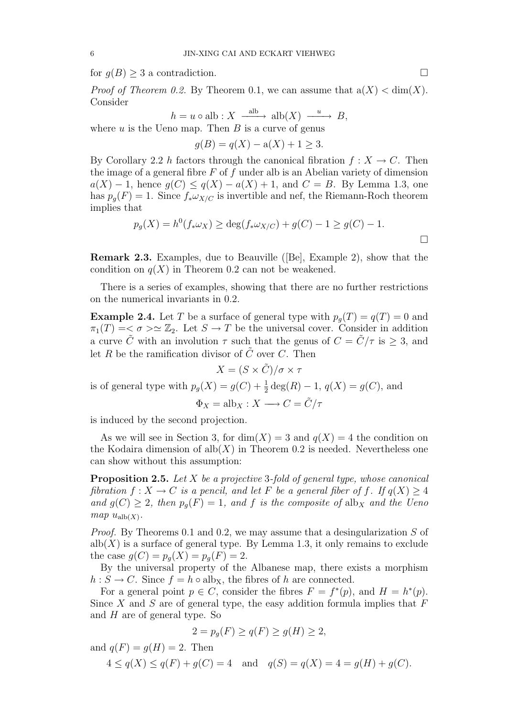for  $g(B) \geq 3$  a contradiction.

*Proof of Theorem 0.2.* By Theorem 0.1, we can assume that  $a(X) < dim(X)$ . Consider

$$
h = u \circ \text{alb} : X \xrightarrow{\text{alb}} \text{alb}(X) \xrightarrow{u} B,
$$

where u is the Ueno map. Then  $B$  is a curve of genus

$$
g(B) = q(X) - a(X) + 1 \ge 3.
$$

By Corollary 2.2 h factors through the canonical fibration  $f: X \to C$ . Then the image of a general fibre  $F$  of  $f$  under alb is an Abelian variety of dimension  $a(X) - 1$ , hence  $g(C) \leq g(X) - a(X) + 1$ , and  $C = B$ . By Lemma 1.3, one has  $p_g(F) = 1$ . Since  $f_* \omega_{X/C}$  is invertible and nef, the Riemann-Roch theorem implies that

$$
p_g(X) = h^0(f_*\omega_X) \ge \deg(f_*\omega_{X/C}) + g(C) - 1 \ge g(C) - 1.
$$

Remark 2.3. Examples, due to Beauville ([Be], Example 2), show that the condition on  $q(X)$  in Theorem 0.2 can not be weakened.

There is a series of examples, showing that there are no further restrictions on the numerical invariants in 0.2.

**Example 2.4.** Let T be a surface of general type with  $p_q(T) = q(T) = 0$  and  $\pi_1(T) = \langle \sigma \rangle \simeq \mathbb{Z}_2$ . Let  $S \to T$  be the universal cover. Consider in addition a curve  $\tilde{C}$  with an involution  $\tau$  such that the genus of  $C = \tilde{C}/\tau$  is  $\geq 3$ , and let R be the ramification divisor of  $\tilde{C}$  over C. Then

 $X = (S \times \tilde{C})/\sigma \times \tau$ 

is of general type with  $p_g(X) = g(C) + \frac{1}{2} \deg(R) - 1$ ,  $q(X) = g(C)$ , and

 $\Phi_X = \text{alb}_X : X \longrightarrow C = \tilde{C}/\tau$ 

is induced by the second projection.

As we will see in Section 3, for  $dim(X) = 3$  and  $q(X) = 4$  the condition on the Kodaira dimension of alb $(X)$  in Theorem 0.2 is needed. Nevertheless one can show without this assumption:

**Proposition 2.5.** Let  $X$  be a projective 3-fold of general type, whose canonical fibration  $f: X \to C$  is a pencil, and let F be a general fiber of f. If  $q(X) \geq 4$ and  $g(C) \geq 2$ , then  $p_q(F) = 1$ , and f is the composite of alb<sub>X</sub> and the Ueno  $map$   $u_{\text{alb}(X)}$ .

Proof. By Theorems 0.1 and 0.2, we may assume that a desingularization S of  $\text{alb}(X)$  is a surface of general type. By Lemma 1.3, it only remains to exclude the case  $g(C) = p_q(X) = p_q(F) = 2$ .

By the universal property of the Albanese map, there exists a morphism  $h: S \to C$ . Since  $f = h \circ \text{alb}_X$ , the fibres of h are connected.

For a general point  $p \in C$ , consider the fibres  $F = f^*(p)$ , and  $H = h^*(p)$ . Since X and S are of general type, the easy addition formula implies that  $F$ and H are of general type. So

$$
2 = p_g(F) \ge q(F) \ge g(H) \ge 2,
$$

and  $q(F) = q(H) = 2$ . Then

 $4 \leq q(X) \leq q(F) + q(C) = 4$  and  $q(S) = q(X) = 4 = g(H) + g(C)$ .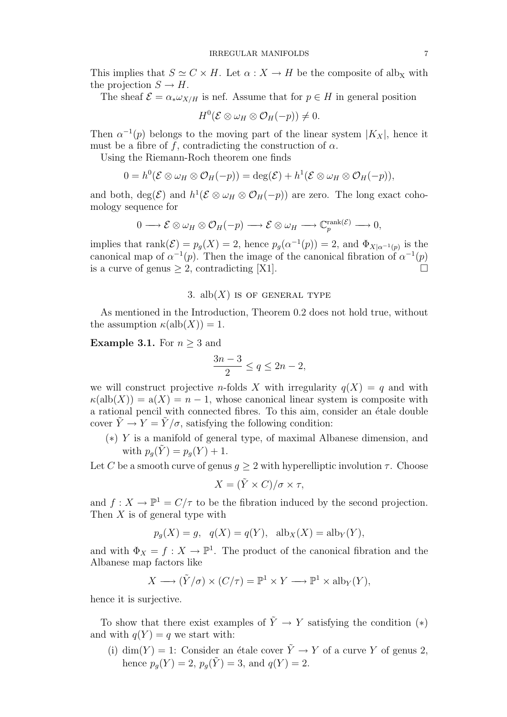This implies that  $S \simeq C \times H$ . Let  $\alpha : X \to H$  be the composite of alb<sub>X</sub> with the projection  $S \to H$ .

The sheaf  $\mathcal{E} = \alpha_* \omega_{X/H}$  is nef. Assume that for  $p \in H$  in general position

$$
H^0(\mathcal{E}\otimes \omega_H\otimes \mathcal{O}_H(-p))\neq 0.
$$

Then  $\alpha^{-1}(p)$  belongs to the moving part of the linear system  $|K_X|$ , hence it must be a fibre of f, contradicting the construction of  $\alpha$ .

Using the Riemann-Roch theorem one finds

$$
0 = h^0(\mathcal{E} \otimes \omega_H \otimes \mathcal{O}_H(-p)) = \deg(\mathcal{E}) + h^1(\mathcal{E} \otimes \omega_H \otimes \mathcal{O}_H(-p)),
$$

and both,  $deg(\mathcal{E})$  and  $h^1(\mathcal{E} \otimes \omega_H \otimes \mathcal{O}_H(-p))$  are zero. The long exact cohomology sequence for

$$
0 \longrightarrow \mathcal{E} \otimes \omega_H \otimes \mathcal{O}_H(-p) \longrightarrow \mathcal{E} \otimes \omega_H \longrightarrow \mathbb{C}_p^{\text{rank}(\mathcal{E})} \longrightarrow 0,
$$

implies that rank $(\mathcal{E}) = p_g(X) = 2$ , hence  $p_g(\alpha^{-1}(p)) = 2$ , and  $\Phi_{X|\alpha^{-1}(p)}$  is the canonical map of  $\alpha^{-1}(p)$ . Then the image of the canonical fibration of  $\alpha^{-1}(p)$ is a curve of genus  $\geq 2$ , contradicting [X1].

## 3. alb $(X)$  is OF GENERAL TYPE

As mentioned in the Introduction, Theorem 0.2 does not hold true, without the assumption  $\kappa(\text{alb}(X)) = 1$ .

**Example 3.1.** For  $n \geq 3$  and

$$
\frac{3n-3}{2} \le q \le 2n-2,
$$

we will construct projective *n*-folds X with irregularity  $q(X) = q$  and with  $\kappa(\text{alb}(X)) = \text{a}(X) = n - 1$ , whose canonical linear system is composite with a rational pencil with connected fibres. To this aim, consider an étale double cover  $\tilde{Y} \to Y = \tilde{Y}/\sigma$ , satisfying the following condition:

(∗) Y is a manifold of general type, of maximal Albanese dimension, and with  $p_{q}(Y) = p_{q}(Y) + 1$ .

Let C be a smooth curve of genus  $g \geq 2$  with hyperelliptic involution  $\tau$ . Choose

$$
X = (\tilde{Y} \times C) / \sigma \times \tau,
$$

and  $f: X \to \mathbb{P}^1 = C/\tau$  to be the fibration induced by the second projection. Then  $X$  is of general type with

$$
p_g(X) = g
$$
,  $q(X) = q(Y)$ ,  $alb_X(X) = alb_Y(Y)$ ,

and with  $\Phi_X = f : X \to \mathbb{P}^1$ . The product of the canonical fibration and the Albanese map factors like

$$
X \longrightarrow (\tilde{Y}/\sigma) \times (C/\tau) = \mathbb{P}^1 \times Y \longrightarrow \mathbb{P}^1 \times \mathrm{alb}_Y(Y),
$$

hence it is surjective.

To show that there exist examples of  $\tilde{Y} \to Y$  satisfying the condition (\*) and with  $q(Y) = q$  we start with:

(i) dim(Y) = 1: Consider an étale cover  $\tilde{Y} \to Y$  of a curve Y of genus 2, hence  $p_q(Y) = 2$ ,  $p_q(\tilde{Y}) = 3$ , and  $q(Y) = 2$ .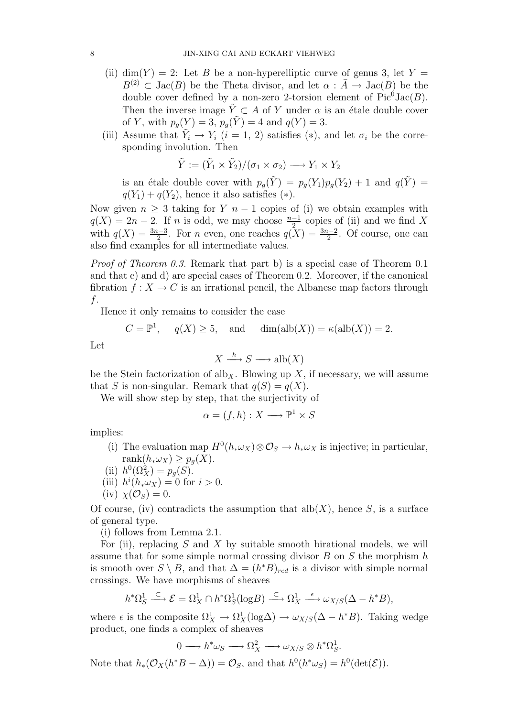- (ii) dim(Y) = 2: Let B be a non-hyperelliptic curve of genus 3, let Y =  $B^{(2)} \subset \text{Jac}(B)$  be the Theta divisor, and let  $\alpha : \overline{A} \to \text{Jac}(B)$  be the double cover defined by a non-zero 2-torsion element of  $Pic^0 \text{Jac}(B)$ . Then the inverse image  $\tilde{Y} \subset A$  of Y under  $\alpha$  is an étale double cover of Y, with  $p_q(Y) = 3$ ,  $p_q(Y) = 4$  and  $q(Y) = 3$ .
- (iii) Assume that  $\tilde{Y}_i \to Y_i$   $(i = 1, 2)$  satisfies  $(*)$ , and let  $\sigma_i$  be the corresponding involution. Then

$$
\tilde{Y} := (\tilde{Y}_1 \times \tilde{Y}_2) / (\sigma_1 \times \sigma_2) \longrightarrow Y_1 \times Y_2
$$

is an étale double cover with  $p_g(Y) = p_g(Y_1)p_g(Y_2) + 1$  and  $q(Y) =$  $q(Y_1) + q(Y_2)$ , hence it also satisfies (\*).

Now given  $n \geq 3$  taking for Y  $n-1$  copies of (i) we obtain examples with  $q(X) = 2n - 2$ . If n is odd, we may choose  $\frac{n-1}{2}$  copies of (ii) and we find X with  $q(X) = \frac{3n-3}{2}$ . For n even, one reaches  $q(X) = \frac{3n-2}{2}$ . Of course, one can also find examples for all intermediate values.

Proof of Theorem 0.3. Remark that part b) is a special case of Theorem 0.1 and that c) and d) are special cases of Theorem 0.2. Moreover, if the canonical fibration  $f: X \to C$  is an irrational pencil, the Albanese map factors through f.

Hence it only remains to consider the case

$$
C = \mathbb{P}^1, \quad q(X) \ge 5, \quad \text{and} \quad \dim(\text{alb}(X)) = \kappa(\text{alb}(X)) = 2.
$$

Let

$$
X \xrightarrow{h} S \longrightarrow \text{alb}(X)
$$

be the Stein factorization of alb<sub>X</sub>. Blowing up X, if necessary, we will assume that S is non-singular. Remark that  $q(S) = q(X)$ .

We will show step by step, that the surjectivity of

$$
\alpha = (f, h) : X \longrightarrow \mathbb{P}^1 \times S
$$

implies:

- (i) The evaluation map  $H^0(h_*\omega_X) \otimes \mathcal{O}_S \to h_*\omega_X$  is injective; in particular, rank $(h_* \omega_X) \geq p_q(X)$ .
- (ii)  $h^0(\Omega_X^2) = p_g(S)$ .
- (iii)  $h^{i}(h_{*}\omega_{X})=0$  for  $i>0$ .
- (iv)  $\chi(\mathcal{O}_S)=0$ .

Of course, (iv) contradicts the assumption that  $\text{alb}(X)$ , hence S, is a surface of general type.

(i) follows from Lemma 2.1.

For (ii), replacing  $S$  and  $X$  by suitable smooth birational models, we will assume that for some simple normal crossing divisor  $B$  on  $S$  the morphism  $h$ is smooth over  $S \setminus B$ , and that  $\Delta = (h^*B)_{red}$  is a divisor with simple normal crossings. We have morphisms of sheaves

$$
h^*\Omega^1_S \xrightarrow{\subset} \mathcal{E} = \Omega^1_X \cap h^*\Omega^1_S(\text{log}B) \xrightarrow{\subset} \Omega^1_X \xrightarrow{\epsilon} \omega_{X/S}(\Delta - h^*B),
$$

where  $\epsilon$  is the composite  $\Omega^1_X \to \Omega^1_X(\log \Delta) \to \omega_{X/S}(\Delta - h^*B)$ . Taking wedge product, one finds a complex of sheaves

$$
0 \longrightarrow h^* \omega_S \longrightarrow \Omega_X^2 \longrightarrow \omega_{X/S} \otimes h^* \Omega_S^1.
$$

Note that  $h_*(\mathcal{O}_X(h^*B - \Delta)) = \mathcal{O}_S$ , and that  $h^0(h^*\omega_S) = h^0(\det(\mathcal{E}))$ .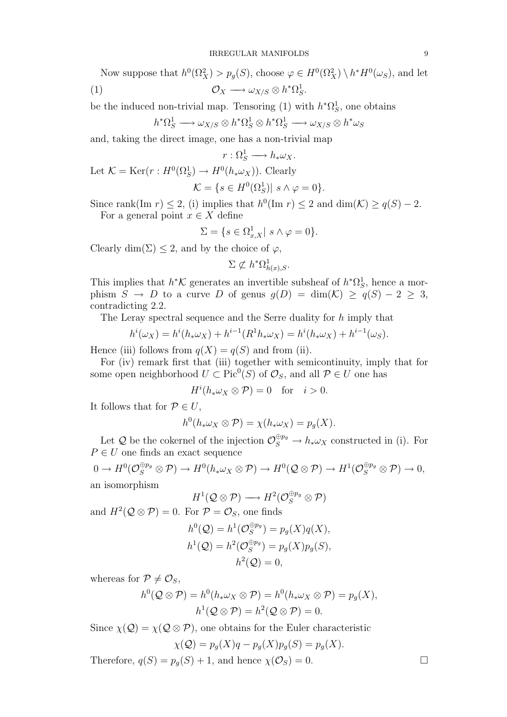Now suppose that  $h^0(\Omega_X^2) > p_g(S)$ , choose  $\varphi \in H^0(\Omega_X^2) \setminus h^*H^0(\omega_S)$ , and let (1)  $\mathcal{O}_X \longrightarrow \omega_{X/S} \otimes h^*\Omega^1_S.$ 

be the induced non-trivial map. Tensoring (1) with  $h^*\Omega_S^1$ , one obtains

$$
h^*\Omega^1_S\longrightarrow \omega_{X/S}\otimes h^*\Omega^1_S\otimes h^*\Omega^1_S\longrightarrow \omega_{X/S}\otimes h^*\omega_S
$$

and, taking the direct image, one has a non-trivial map

$$
r: \Omega_S^1 \longrightarrow h_* \omega_X.
$$
  
Let  $\mathcal{K} = \text{Ker}(r: H^0(\Omega_S^1) \longrightarrow H^0(h_* \omega_X)).$  Clearly  

$$
\mathcal{K} = \{s \in H^0(\Omega_S^1) | s \wedge \varphi = 0 \}.
$$

Since rank(Im  $r \leq 2$ , (i) implies that  $h^0(\text{Im } r) \leq 2$  and  $\dim(\mathcal{K}) \geq q(S) - 2$ .

For a general point  $x \in X$  define

$$
\Sigma = \{ s \in \Omega^1_{x,X} | s \wedge \varphi = 0 \}.
$$

Clearly dim( $\Sigma$ ) < 2, and by the choice of  $\varphi$ ,

$$
\Sigma \not\subset h^*\Omega^1_{h(x),S}.
$$

This implies that  $h^*K$  generates an invertible subsheaf of  $h^*\Omega_S^1$ , hence a morphism  $S \to D$  to a curve D of genus  $g(D) = \dim(\mathcal{K}) \geq q(S) - 2 \geq 3$ , contradicting 2.2.

The Leray spectral sequence and the Serre duality for h imply that

$$
h^{i}(\omega_{X}) = h^{i}(h_{*}\omega_{X}) + h^{i-1}(R^{1}h_{*}\omega_{X}) = h^{i}(h_{*}\omega_{X}) + h^{i-1}(\omega_{S}).
$$

Hence (iii) follows from  $q(X) = q(S)$  and from (ii).

For (iv) remark first that (iii) together with semicontinuity, imply that for some open neighborhood  $U \subset Pic^0(S)$  of  $\mathcal{O}_S$ , and all  $\mathcal{P} \in U$  one has

$$
H^{i}(h_{*}\omega_{X}\otimes P)=0 \text{ for } i>0.
$$

It follows that for  $P \in U$ ,

$$
h^{0}(h_{*}\omega_{X}\otimes P)=\chi(h_{*}\omega_{X})=p_{g}(X).
$$

Let Q be the cokernel of the injection  $\mathcal{O}_S^{\oplus p_g} \to h_* \omega_X$  constructed in (i). For  $P \in U$  one finds an exact sequence

$$
0 \to H^0(\mathcal{O}_S^{\oplus p_g} \otimes \mathcal{P}) \to H^0(h_*\omega_X \otimes \mathcal{P}) \to H^0(\mathcal{Q} \otimes \mathcal{P}) \to H^1(\mathcal{O}_S^{\oplus p_g} \otimes \mathcal{P}) \to 0,
$$
an isomorphism

$$
H^1(\mathcal{Q}\otimes \mathcal{P})\longrightarrow H^2(\mathcal{O}_S^{\oplus p_g}\otimes \mathcal{P})
$$

and  $H^2(Q \otimes \mathcal{P}) = 0$ . For  $\mathcal{P} = \mathcal{O}_S$ , one finds

$$
h^{0}(Q) = h^{1}(\mathcal{O}_{S}^{\oplus p_{g}}) = p_{g}(X)q(X),
$$
  
\n
$$
h^{1}(Q) = h^{2}(\mathcal{O}_{S}^{\oplus p_{g}}) = p_{g}(X)p_{g}(S),
$$
  
\n
$$
h^{2}(Q) = 0,
$$

whereas for  $P \neq \mathcal{O}_S$ ,

$$
h^{0}(\mathcal{Q}\otimes\mathcal{P})=h^{0}(h_{*}\omega_{X}\otimes\mathcal{P})=h^{0}(h_{*}\omega_{X}\otimes\mathcal{P})=p_{g}(X),
$$
  

$$
h^{1}(\mathcal{Q}\otimes\mathcal{P})=h^{2}(\mathcal{Q}\otimes\mathcal{P})=0.
$$

Since  $\chi(\mathcal{Q}) = \chi(\mathcal{Q} \otimes \mathcal{P})$ , one obtains for the Euler characteristic

$$
\chi(\mathcal{Q}) = p_g(X)q - p_g(X)p_g(S) = p_g(X).
$$

Therefore,  $q(S) = p_q(S) + 1$ , and hence  $\chi(\mathcal{O}_S) = 0$ .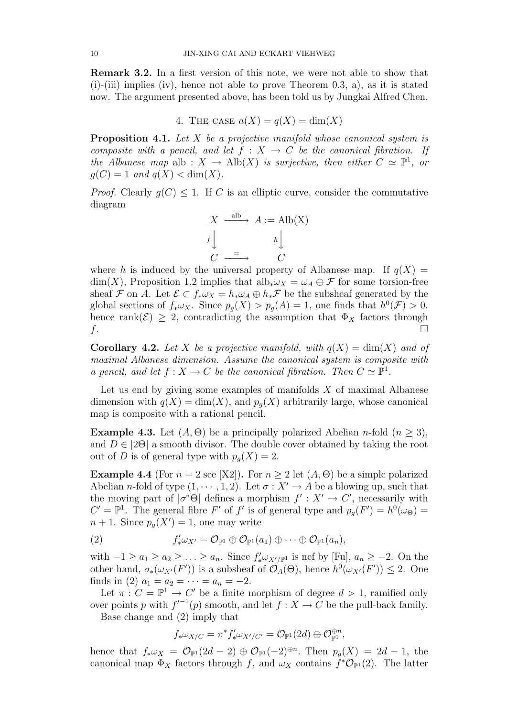Remark 3.2. In a first version of this note, we were not able to show that  $(i)$ - $(iii)$  implies  $(iv)$ , hence not able to prove Theorem 0.3, a), as it is stated now. The argument presented above, has been told us by Jungkai Alfred Chen.

4. THE CASE  $a(X) = q(X) = \dim(X)$ 

**Proposition 4.1.** Let  $X$  be a projective manifold whose canonical system is composite with a pencil, and let  $f : X \to C$  be the canonical fibration. If the Albanese map alb :  $X \to Alb(X)$  is surjective, then either  $C \simeq \mathbb{P}^1$ , or  $q(C) = 1$  and  $q(X) < \dim(X)$ .

*Proof.* Clearly  $g(C) \leq 1$ . If C is an elliptic curve, consider the commutative diagram

$$
X \xrightarrow{\text{alb}} A := \text{Alb}(X)
$$
  

$$
f \downarrow \qquad h \downarrow
$$
  

$$
C \xrightarrow{\text{alb}} C
$$

where h is induced by the universal property of Albanese map. If  $q(X)$  =  $\dim(X)$ , Proposition 1.2 implies that  $\mathrm{alb}_*\omega_X = \omega_A \oplus \mathcal{F}$  for some torsion-free sheaf F on A. Let  $\mathcal{E} \subset f_* \omega_X = h_* \omega_A \oplus h_* \mathcal{F}$  be the subsheaf generated by the global sections of  $f_* \omega_X$ . Since  $p_g(X) > p_g(A) = 1$ , one finds that  $h^0(\mathcal{F}) > 0$ , hence rank( $\mathcal{E}$ )  $\geq$  2, contradicting the assumption that  $\Phi_X$  factors through  $f$ .

**Corollary 4.2.** Let X be a projective manifold, with  $q(X) = \dim(X)$  and of maximal Albanese dimension. Assume the canonical system is composite with a pencil, and let  $f : X \to C$  be the canonical fibration. Then  $C \simeq \mathbb{P}^1$ .

Let us end by giving some examples of manifolds  $X$  of maximal Albanese dimension with  $q(X) = \dim(X)$ , and  $p_q(X)$  arbitrarily large, whose canonical map is composite with a rational pencil.

**Example 4.3.** Let  $(A, \Theta)$  be a principally polarized Abelian *n*-fold  $(n \geq 3)$ , and  $D \in |2\Theta|$  a smooth divisor. The double cover obtained by taking the root out of D is of general type with  $p_q(X) = 2$ .

Example 4.4 (For  $n = 2$  see [X2]). For  $n > 2$  let  $(A, \Theta)$  be a simple polarized Abelian *n*-fold of type  $(1, \dots, 1, 2)$ . Let  $\sigma : X' \to A$  be a blowing up, such that the moving part of  $|\sigma^*\Theta|$  defines a morphism  $f': X' \to C'$ , necessarily with  $C' = \mathbb{P}^1$ . The general fibre F' of f' is of general type and  $p_g(F') = h^0(\omega_{\Theta}) =$  $n+1$ . Since  $p_g(X')=1$ , one may write

(2) 
$$
f'_*\omega_{X'} = \mathcal{O}_{\mathbb{P}^1} \oplus \mathcal{O}_{\mathbb{P}^1}(a_1) \oplus \cdots \oplus \mathcal{O}_{\mathbb{P}^1}(a_n),
$$

with  $-1 \ge a_1 \ge a_2 \ge \ldots \ge a_n$ . Since  $f'_*\omega_{X'}/\mathbb{P}^1$  is nef by [Fu],  $a_n \ge -2$ . On the other hand,  $\sigma_*(\omega_{X'}(F'))$  is a subsheaf of  $\mathcal{O}_A(\Theta)$ , hence  $h^0(\omega_{X'}(F')) \leq 2$ . One finds in (2)  $a_1 = a_2 = \cdots = a_n = -2$ .

Let  $\pi: C = \mathbb{P}^1 \to C'$  be a finite morphism of degree  $d > 1$ , ramified only over points p with  $f^{-1}(p)$  smooth, and let  $f: X \to C$  be the pull-back family.

Base change and (2) imply that

$$
f_* \omega_{X/C} = \pi^* f'_* \omega_{X'/C'} = \mathcal{O}_{\mathbb{P}^1}(2d) \oplus \mathcal{O}_{\mathbb{P}^1}^{\oplus n},
$$

hence that  $f_*\omega_X = \mathcal{O}_{\mathbb{P}^1}(2d-2) \oplus \mathcal{O}_{\mathbb{P}^1}(-2)^{\oplus n}$ . Then  $p_g(X) = 2d-1$ , the canonical map  $\Phi_X$  factors through f, and  $\omega_X$  contains  $\tilde{f}^*\mathcal{O}_{\mathbb{P}^1}(2)$ . The latter